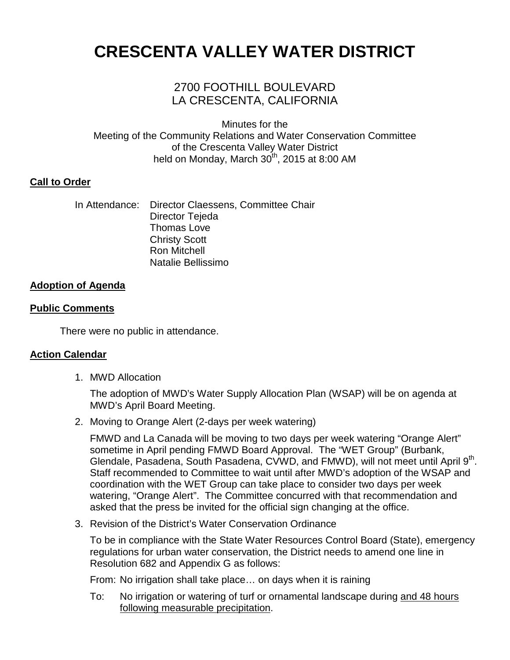# **CRESCENTA VALLEY WATER DISTRICT**

## 2700 FOOTHILL BOULEVARD LA CRESCENTA, CALIFORNIA

Minutes for the Meeting of the Community Relations and Water Conservation Committee of the Crescenta Valley Water District held on Monday, March  $30^{th}$ , 2015 at 8:00 AM

### **Call to Order**

|  | In Attendance: Director Claessens, Committee Chair |
|--|----------------------------------------------------|
|  | Director Tejeda                                    |
|  | <b>Thomas Love</b>                                 |
|  | <b>Christy Scott</b>                               |
|  | <b>Ron Mitchell</b>                                |
|  | Natalie Bellissimo                                 |

#### **Adoption of Agenda**

#### **Public Comments**

There were no public in attendance.

#### **Action Calendar**

1. MWD Allocation

The adoption of MWD's Water Supply Allocation Plan (WSAP) will be on agenda at MWD's April Board Meeting.

2. Moving to Orange Alert (2-days per week watering)

FMWD and La Canada will be moving to two days per week watering "Orange Alert" sometime in April pending FMWD Board Approval. The "WET Group" (Burbank, Glendale, Pasadena, South Pasadena, CVWD, and FMWD), will not meet until April 9<sup>th</sup>. Staff recommended to Committee to wait until after MWD's adoption of the WSAP and coordination with the WET Group can take place to consider two days per week watering, "Orange Alert". The Committee concurred with that recommendation and asked that the press be invited for the official sign changing at the office.

3. Revision of the District's Water Conservation Ordinance

To be in compliance with the State Water Resources Control Board (State), emergency regulations for urban water conservation, the District needs to amend one line in Resolution 682 and Appendix G as follows:

From: No irrigation shall take place… on days when it is raining

To: No irrigation or watering of turf or ornamental landscape during and 48 hours following measurable precipitation.